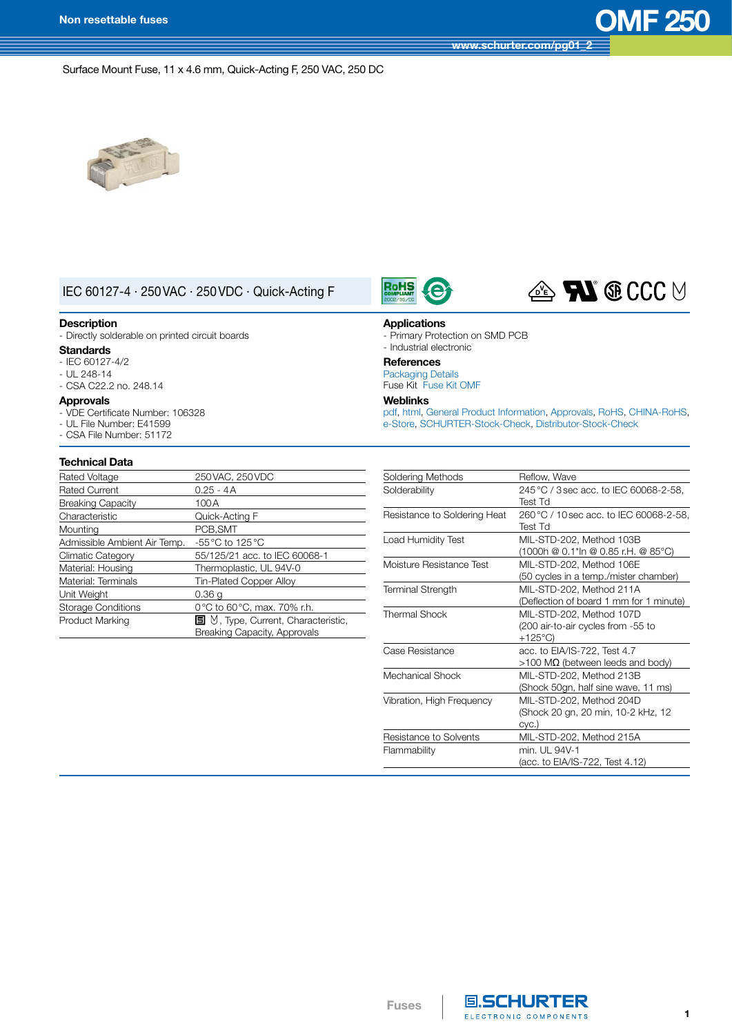**[www.schurter.com/pg01\\_2](http://www.schurter.ch/wwwsc/con_pg01_2.asp?language_id=10)**

Surface Mount Fuse, 11 x 4.6 mm, Quick-Acting F, 250 VAC, 250 DC



# IEC 60127-4 · 250VAC · 250VDC · Quick-Acting F

#### **Description**

- Directly solderable on printed circuit boards

### **Standards**

- IEC 60127-4/2
- $-$  UL 248-14
- CSA C22.2 no. 248.14

### **Approvals**

- VDE Certificate Number: 106328
- UL File Number: E41599
- CSA File Number: 51172

### **Technical Data**

| Rated Voltage                | 250 VAC, 250 VDC                                       |
|------------------------------|--------------------------------------------------------|
| <b>Rated Current</b>         | $0.25 - 4A$                                            |
| <b>Breaking Capacity</b>     | 100 A                                                  |
| Characteristic               | Quick-Acting F                                         |
| Mounting                     | PCB, SMT                                               |
| Admissible Ambient Air Temp. | -55 °C to 125 °C                                       |
| <b>Climatic Category</b>     | 55/125/21 acc. to IEC 60068-1                          |
| Material: Housing            | Thermoplastic, UL 94V-0                                |
| Material: Terminals          | <b>Tin-Plated Copper Alloy</b>                         |
| Unit Weight                  | 0.36 <sub>g</sub>                                      |
| <b>Storage Conditions</b>    | 0°C to 60°C, max. 70% r.h.                             |
| Product Marking              | $\blacksquare$ $\vee$ , Type, Current, Characteristic, |
|                              | Breaking Capacity, Approvals                           |





#### **Applications**

- Primary Protection on SMD PCB - Industrial electronic

### **References**

[Packaging](http://www.schurter.ch/pdf/english/GS_packaging_details.pdf) Details Fuse Kit Fuse Kit [OMF](http://www.schurter.ch/pdf/english/typ_Fuse_Kit_OMF.pdf)

### **Weblinks**

[pdf](http://www.schurter.ch/pdf/english/typ_OMF_250.pdf), [html](http://www.schurter.ch/en/datasheet/OMF%20250), General Product [Information,](http://www.schurter.ch/products/fuses_general_info.asp) [Approvals](http://www.schurter.ch/en/Documents-References/Approvals/(id)/OMF), [RoHS](http://www.schurter.ch//company/rohs.asp), [CHINA-RoHS,](http://www.schurter.ch//company/china_rohs.asp) [e-Store](http://www.estore.schurter.com/estore/merchant.ihtml?cid=777&step=2), [SCHURTER-Stock-Check,](https://sapportal.schurter.ch:8888/irj/portal/anonymous?MAKTX=OMF*&COM_QTY=1&AUTOSEARCH=true) [Distributor-Stock-Check](http://www.schurter.com/en/Services/Stock-Check-Distributor?ID=OMF250)

| Soldering Methods            | Reflow, Wave                            |
|------------------------------|-----------------------------------------|
| Solderability                | 245 °C / 3 sec acc. to IEC 60068-2-58.  |
|                              | Test Td                                 |
| Resistance to Soldering Heat | 260 °C / 10 sec acc. to IEC 60068-2-58, |
|                              | <b>Test Td</b>                          |
| Load Humidity Test           | MIL-STD-202, Method 103B                |
|                              | (1000h @ 0.1*ln @ 0.85 r.H. @ 85°C)     |
| Moisture Resistance Test     | MIL-STD-202, Method 106E                |
|                              | (50 cycles in a temp./mister chamber)   |
| <b>Terminal Strength</b>     | MIL-STD-202, Method 211A                |
|                              | (Deflection of board 1 mm for 1 minute) |
| <b>Thermal Shock</b>         | MIL-STD-202, Method 107D                |
|                              | (200 air-to-air cycles from -55 to      |
|                              | $+125^{\circ}$ C)                       |
| Case Resistance              | acc. to EIA/IS-722, Test 4.7            |
|                              | $>100$ MΩ (between leeds and body)      |
| Mechanical Shock             | MIL-STD-202, Method 213B                |
|                              | (Shock 50gn, half sine wave, 11 ms)     |
| Vibration, High Frequency    | MIL-STD-202, Method 204D                |
|                              | (Shock 20 gn, 20 min, 10-2 kHz, 12      |
|                              | Cyc.)                                   |
| Resistance to Solvents       | MIL-STD-202, Method 215A                |
| Flammability                 | min. UL 94V-1                           |
|                              | (acc. to EIA/IS-722, Test 4.12)         |

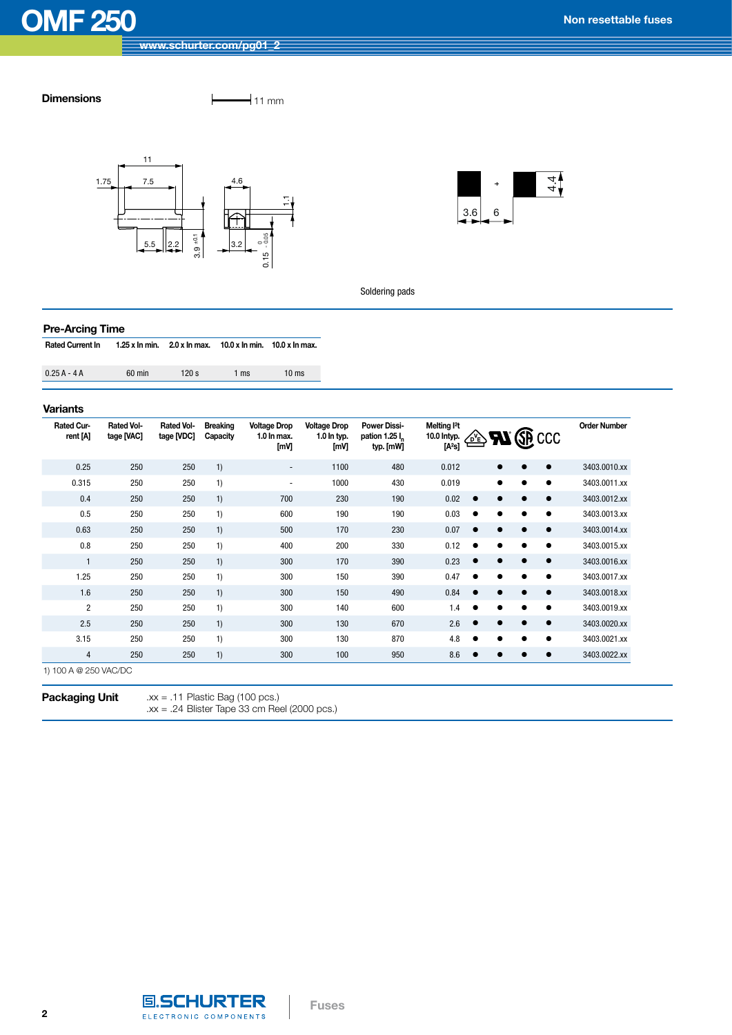## **Dimensions**  $\qquad \qquad \qquad$  11 mm





Soldering pads

### **Pre-Arcing Time**

| <b>Rated Current In</b> | 1.25 x ln min. $2.0$ x ln max. $10.0$ x ln min. $10.0$ x ln max. |  |  |
|-------------------------|------------------------------------------------------------------|--|--|
|                         |                                                                  |  |  |

| $0.25A - 4A$ | 60 min | 120 s | 1 ms | $10 \text{ ms}$ |
|--------------|--------|-------|------|-----------------|
|              |        |       |      |                 |

### **Variants**

| Rated Cur-<br>rent [A] | <b>Rated Vol-</b><br>tage [VAC] | <b>Rated Vol-</b><br>tage [VDC] | <b>Breaking</b><br>Capacity | <b>Voltage Drop</b><br>1.0 In max.<br>[mV] | <b>Voltage Drop</b><br>1.0 In typ.<br>[mV] | <b>Power Dissi-</b><br>pation 1.25 l <sub>r</sub><br>typ. [mW] | Melting <sup>2</sup> t<br>10.0 Intyp.<br>$[A^2s]$ | 亝 |   | $\sim$ <b>FM</b> $\left(\bigoplus$ CCC | <b>Order Number</b> |
|------------------------|---------------------------------|---------------------------------|-----------------------------|--------------------------------------------|--------------------------------------------|----------------------------------------------------------------|---------------------------------------------------|---|---|----------------------------------------|---------------------|
| 0.25                   | 250                             | 250                             | 1)                          | $\sim$                                     | 1100                                       | 480                                                            | 0.012                                             |   |   | $\bullet$                              | 3403.0010.xx        |
| 0.315                  | 250                             | 250                             | 1)                          | $\sim$                                     | 1000                                       | 430                                                            | 0.019                                             |   |   | $\bullet$                              | 3403.0011.xx        |
| 0.4                    | 250                             | 250                             | 1)                          | 700                                        | 230                                        | 190                                                            | 0.02                                              |   |   | $\bullet$                              | 3403.0012.xx        |
| 0.5                    | 250                             | 250                             | 1)                          | 600                                        | 190                                        | 190                                                            | 0.03                                              |   |   | $\bullet$                              | 3403.0013.xx        |
| 0.63                   | 250                             | 250                             | 1)                          | 500                                        | 170                                        | 230                                                            | 0.07                                              |   |   | $\bullet$                              | 3403.0014.xx        |
| 0.8                    | 250                             | 250                             | 1)                          | 400                                        | 200                                        | 330                                                            | 0.12                                              |   |   | $\bullet$                              | 3403.0015.xx        |
| $\mathbf{1}$           | 250                             | 250                             | 1)                          | 300                                        | 170                                        | 390                                                            | 0.23                                              |   |   | $\bullet$                              | 3403.0016.xx        |
| 1.25                   | 250                             | 250                             | 1)                          | 300                                        | 150                                        | 390                                                            | 0.47                                              |   |   | $\bullet$                              | 3403.0017.xx        |
| 1.6                    | 250                             | 250                             | 1)                          | 300                                        | 150                                        | 490                                                            | 0.84                                              |   |   | $\bullet$                              | 3403.0018.xx        |
| $\overline{2}$         | 250                             | 250                             | 1)                          | 300                                        | 140                                        | 600                                                            | 1.4                                               |   | ∙ | $\bullet$                              | 3403.0019.xx        |
| 2.5                    | 250                             | 250                             | 1)                          | 300                                        | 130                                        | 670                                                            | 2.6                                               |   |   | $\bullet$                              | 3403.0020.xx        |
| 3.15                   | 250                             | 250                             | 1)                          | 300                                        | 130                                        | 870                                                            | 4.8                                               |   |   | $\bullet$                              | 3403.0021.xx        |
| $\overline{4}$         | 250                             | 250                             | 1)                          | 300                                        | 100                                        | 950                                                            | 8.6                                               |   |   | ٠                                      | 3403.0022.xx        |

**Fuses**

1) 100 A @ 250 VAC/DC

**Packaging Unit** .xx = .11 Plastic Bag (100 pcs.) .xx = .24 Blister Tape 33 cm Reel (2000 pcs.)